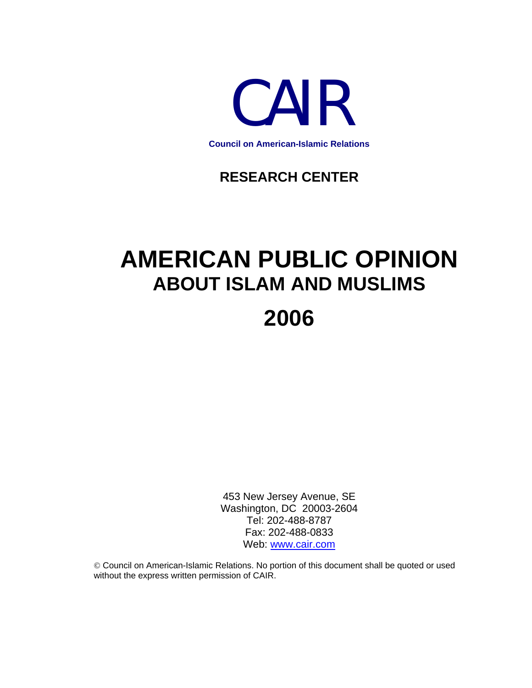

### **RESEARCH CENTER**

# **AMERICAN PUBLIC OPINION ABOUT ISLAM AND MUSLIMS**

## **2006**

453 New Jersey Avenue, SE Washington, DC 20003-2604 Tel: 202-488-8787 Fax: 202-488-0833 Web: [www.cair.com](http://www.cair.com/)

© Council on American-Islamic Relations. No portion of this document shall be quoted or used without the express written permission of CAIR.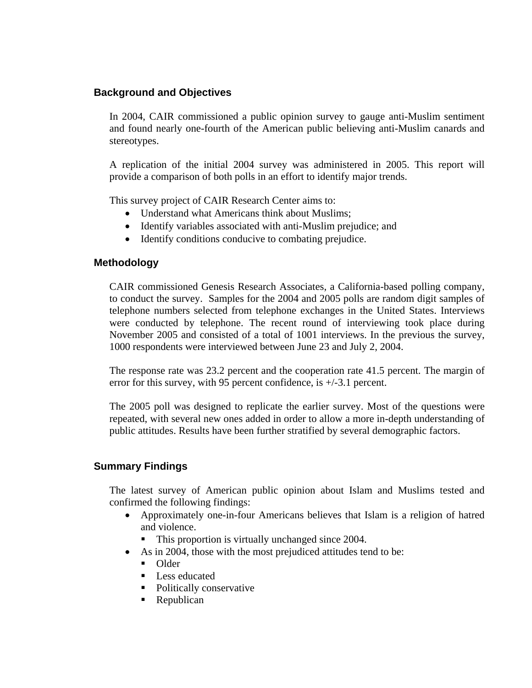#### **Background and Objectives**

In 2004, CAIR commissioned a public opinion survey to gauge anti-Muslim sentiment and found nearly one-fourth of the American public believing anti-Muslim canards and stereotypes.

A replication of the initial 2004 survey was administered in 2005. This report will provide a comparison of both polls in an effort to identify major trends.

This survey project of CAIR Research Center aims to:

- Understand what Americans think about Muslims;
- Identify variables associated with anti-Muslim prejudice; and
- Identify conditions conducive to combating prejudice.

#### **Methodology**

CAIR commissioned Genesis Research Associates, a California-based polling company, to conduct the survey. Samples for the 2004 and 2005 polls are random digit samples of telephone numbers selected from telephone exchanges in the United States. Interviews were conducted by telephone. The recent round of interviewing took place during November 2005 and consisted of a total of 1001 interviews. In the previous the survey, 1000 respondents were interviewed between June 23 and July 2, 2004.

The response rate was 23.2 percent and the cooperation rate 41.5 percent. The margin of error for this survey, with 95 percent confidence, is +/-3.1 percent.

The 2005 poll was designed to replicate the earlier survey. Most of the questions were repeated, with several new ones added in order to allow a more in-depth understanding of public attitudes. Results have been further stratified by several demographic factors.

#### **Summary Findings**

The latest survey of American public opinion about Islam and Muslims tested and confirmed the following findings:

- Approximately one-in-four Americans believes that Islam is a religion of hatred and violence.
	- This proportion is virtually unchanged since 2004.
- As in 2004, those with the most prejudiced attitudes tend to be:
	- Older
	- Less educated
	- Politically conservative
	- Republican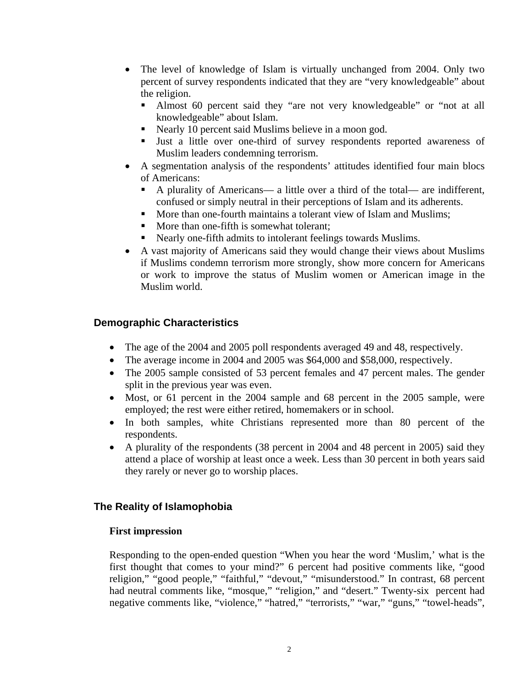- The level of knowledge of Islam is virtually unchanged from 2004. Only two percent of survey respondents indicated that they are "very knowledgeable" about the religion.
	- Almost 60 percent said they "are not very knowledgeable" or "not at all knowledgeable" about Islam.
	- Nearly 10 percent said Muslims believe in a moon god.
	- Just a little over one-third of survey respondents reported awareness of Muslim leaders condemning terrorism.
- A segmentation analysis of the respondents' attitudes identified four main blocs of Americans:
	- A plurality of Americans— a little over a third of the total— are indifferent, confused or simply neutral in their perceptions of Islam and its adherents.
	- More than one-fourth maintains a tolerant view of Islam and Muslims;
	- More than one-fifth is somewhat tolerant:
	- Nearly one-fifth admits to intolerant feelings towards Muslims.
- A vast majority of Americans said they would change their views about Muslims if Muslims condemn terrorism more strongly, show more concern for Americans or work to improve the status of Muslim women or American image in the Muslim world.

#### **Demographic Characteristics**

- The age of the 2004 and 2005 poll respondents averaged 49 and 48, respectively.
- The average income in 2004 and 2005 was \$64,000 and \$58,000, respectively.
- The 2005 sample consisted of 53 percent females and 47 percent males. The gender split in the previous year was even.
- Most, or 61 percent in the 2004 sample and 68 percent in the 2005 sample, were employed; the rest were either retired, homemakers or in school.
- In both samples, white Christians represented more than 80 percent of the respondents.
- A plurality of the respondents (38 percent in 2004 and 48 percent in 2005) said they attend a place of worship at least once a week. Less than 30 percent in both years said they rarely or never go to worship places.

#### **The Reality of Islamophobia**

#### **First impression**

Responding to the open-ended question "When you hear the word 'Muslim,' what is the first thought that comes to your mind?" 6 percent had positive comments like, "good religion," "good people," "faithful," "devout," "misunderstood." In contrast, 68 percent had neutral comments like, "mosque," "religion," and "desert." Twenty-six percent had negative comments like, "violence," "hatred," "terrorists," "war," "guns," "towel-heads",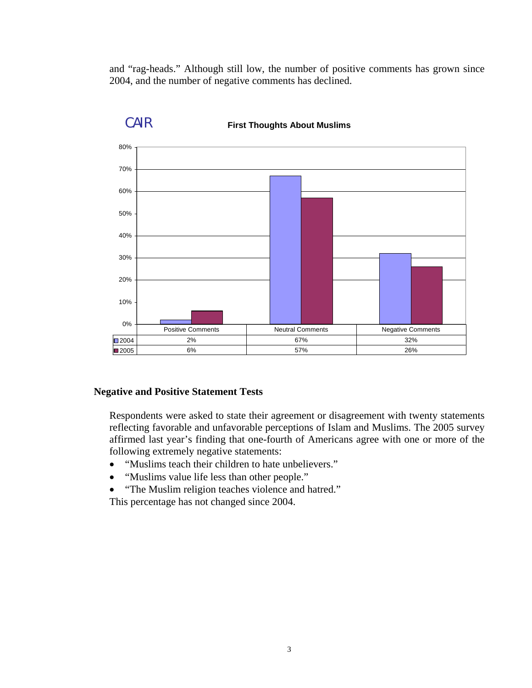and "rag-heads." Although still low, the number of positive comments has grown since 2004, and the number of negative comments has declined.



#### **First Thoughts About Muslims**

#### **Negative and Positive Statement Tests**

CAIR

Respondents were asked to state their agreement or disagreement with twenty statements reflecting favorable and unfavorable perceptions of Islam and Muslims. The 2005 survey affirmed last year's finding that one-fourth of Americans agree with one or more of the following extremely negative statements:

- "Muslims teach their children to hate unbelievers."
- "Muslims value life less than other people."
- "The Muslim religion teaches violence and hatred."

This percentage has not changed since 2004.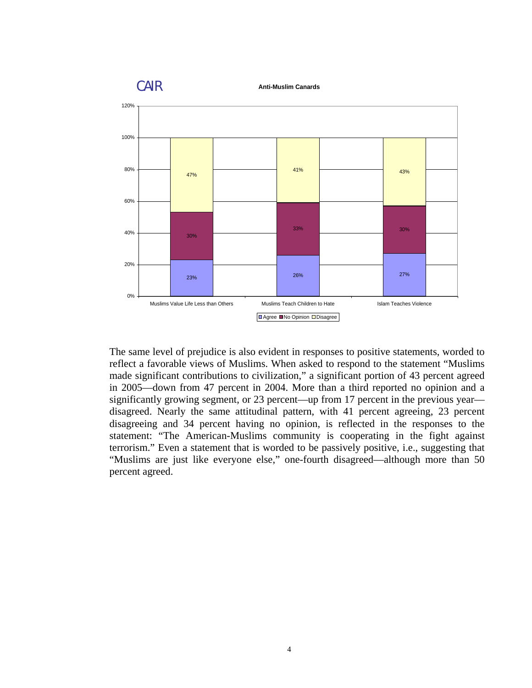

The same level of prejudice is also evident in responses to positive statements, worded to reflect a favorable views of Muslims. When asked to respond to the statement "Muslims made significant contributions to civilization," a significant portion of 43 percent agreed in 2005—down from 47 percent in 2004. More than a third reported no opinion and a significantly growing segment, or 23 percent—up from 17 percent in the previous year disagreed. Nearly the same attitudinal pattern, with 41 percent agreeing, 23 percent disagreeing and 34 percent having no opinion, is reflected in the responses to the statement: "The American-Muslims community is cooperating in the fight against terrorism." Even a statement that is worded to be passively positive, i.e., suggesting that "Muslims are just like everyone else," one-fourth disagreed—although more than 50 percent agreed.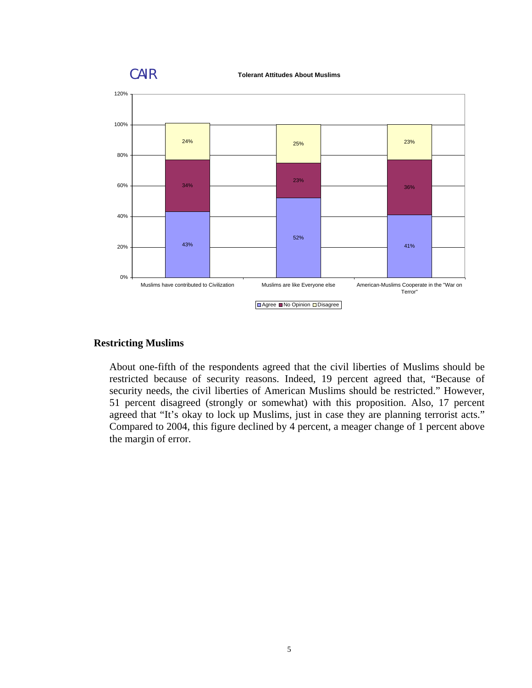

#### **Restricting Muslims**

About one-fifth of the respondents agreed that the civil liberties of Muslims should be restricted because of security reasons. Indeed, 19 percent agreed that, "Because of security needs, the civil liberties of American Muslims should be restricted." However, 51 percent disagreed (strongly or somewhat) with this proposition. Also, 17 percent agreed that "It's okay to lock up Muslims, just in case they are planning terrorist acts." Compared to 2004, this figure declined by 4 percent, a meager change of 1 percent above the margin of error.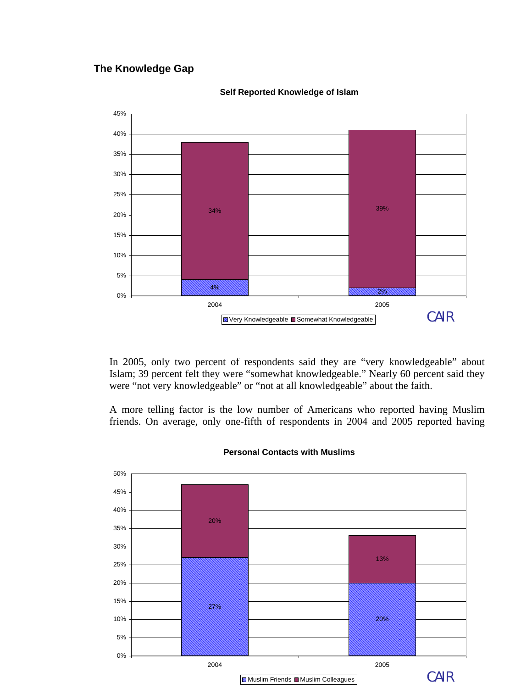#### **The Knowledge Gap**



**Self Reported Knowledge of Islam**

In 2005, only two percent of respondents said they are "very knowledgeable" about Islam; 39 percent felt they were "somewhat knowledgeable." Nearly 60 percent said they were "not very knowledgeable" or "not at all knowledgeable" about the faith.

A more telling factor is the low number of Americans who reported having Muslim friends. On average, only one-fifth of respondents in 2004 and 2005 reported having



#### **Personal Contacts with Muslims**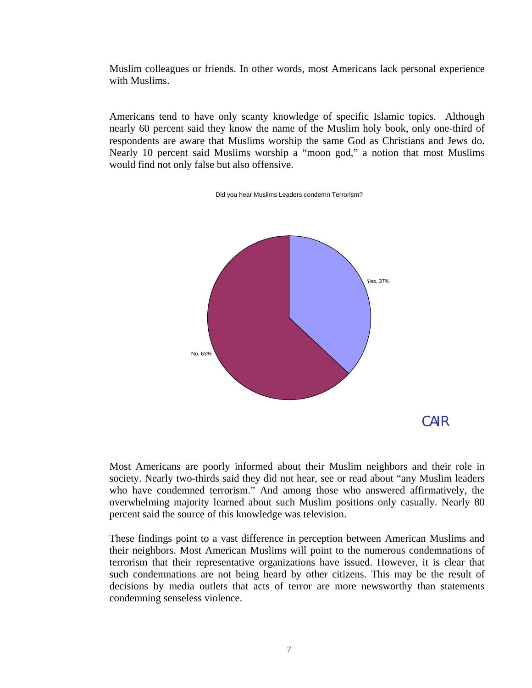Muslim colleagues or friends. In other words, most Americans lack personal experience with Muslims.

Americans tend to have only scanty knowledge of specific Islamic topics. Although nearly 60 percent said they know the name of the Muslim holy book, only one-third of respondents are aware that Muslims worship the same God as Christians and Jews do. Nearly 10 percent said Muslims worship a "moon god," a notion that most Muslims would find not only false but also offensive.

Did you hear Muslims Leaders condemn Terrorism?



Most Americans are poorly informed about their Muslim neighbors and their role in society. Nearly two-thirds said they did not hear, see or read about "any Muslim leaders who have condemned terrorism." And among those who answered affirmatively, the overwhelming majority learned about such Muslim positions only casually. Nearly 80 percent said the source of this knowledge was television.

These findings point to a vast difference in perception between American Muslims and their neighbors. Most American Muslims will point to the numerous condemnations of terrorism that their representative organizations have issued. However, it is clear that such condemnations are not being heard by other citizens. This may be the result of decisions by media outlets that acts of terror are more newsworthy than statements condemning senseless violence.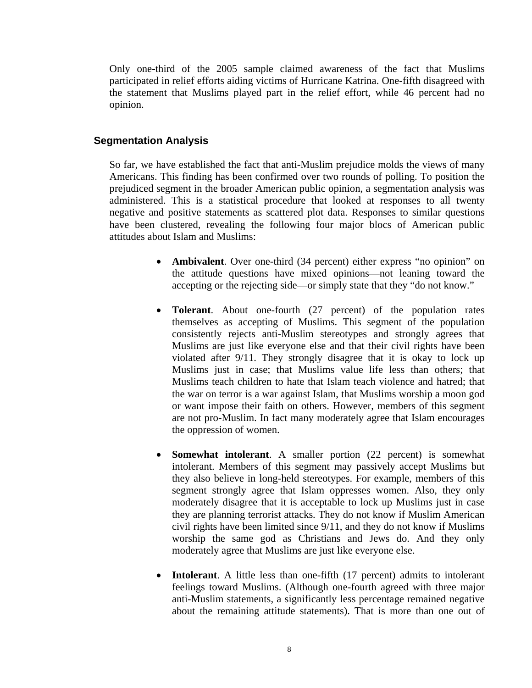Only one-third of the 2005 sample claimed awareness of the fact that Muslims participated in relief efforts aiding victims of Hurricane Katrina. One-fifth disagreed with the statement that Muslims played part in the relief effort, while 46 percent had no opinion.

#### **Segmentation Analysis**

So far, we have established the fact that anti-Muslim prejudice molds the views of many Americans. This finding has been confirmed over two rounds of polling. To position the prejudiced segment in the broader American public opinion, a segmentation analysis was administered. This is a statistical procedure that looked at responses to all twenty negative and positive statements as scattered plot data. Responses to similar questions have been clustered, revealing the following four major blocs of American public attitudes about Islam and Muslims:

- **Ambivalent**. Over one-third (34 percent) either express "no opinion" on the attitude questions have mixed opinions—not leaning toward the accepting or the rejecting side—or simply state that they "do not know."
- **Tolerant**. About one-fourth (27 percent) of the population rates themselves as accepting of Muslims. This segment of the population consistently rejects anti-Muslim stereotypes and strongly agrees that Muslims are just like everyone else and that their civil rights have been violated after 9/11. They strongly disagree that it is okay to lock up Muslims just in case; that Muslims value life less than others; that Muslims teach children to hate that Islam teach violence and hatred; that the war on terror is a war against Islam, that Muslims worship a moon god or want impose their faith on others. However, members of this segment are not pro-Muslim. In fact many moderately agree that Islam encourages the oppression of women.
- **Somewhat intolerant**. A smaller portion (22 percent) is somewhat intolerant. Members of this segment may passively accept Muslims but they also believe in long-held stereotypes. For example, members of this segment strongly agree that Islam oppresses women. Also, they only moderately disagree that it is acceptable to lock up Muslims just in case they are planning terrorist attacks*.* They do not know if Muslim American civil rights have been limited since 9/11, and they do not know if Muslims worship the same god as Christians and Jews do. And they only moderately agree that Muslims are just like everyone else.
- **Intolerant**. A little less than one-fifth (17 percent) admits to intolerant feelings toward Muslims. (Although one-fourth agreed with three major anti-Muslim statements, a significantly less percentage remained negative about the remaining attitude statements). That is more than one out of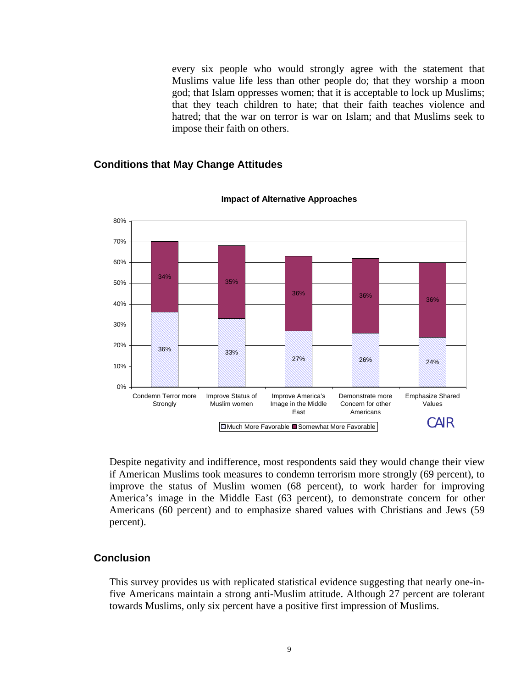every six people who would strongly agree with the statement that Muslims value life less than other people do; that they worship a moon god; that Islam oppresses women; that it is acceptable to lock up Muslims; that they teach children to hate; that their faith teaches violence and hatred; that the war on terror is war on Islam; and that Muslims seek to impose their faith on others.

#### **Conditions that May Change Attitudes**



#### **Impact of Alternative Approaches**

Despite negativity and indifference, most respondents said they would change their view if American Muslims took measures to condemn terrorism more strongly (69 percent), to improve the status of Muslim women (68 percent), to work harder for improving America's image in the Middle East (63 percent), to demonstrate concern for other Americans (60 percent) and to emphasize shared values with Christians and Jews (59 percent).

#### **Conclusion**

This survey provides us with replicated statistical evidence suggesting that nearly one-infive Americans maintain a strong anti-Muslim attitude. Although 27 percent are tolerant towards Muslims, only six percent have a positive first impression of Muslims.